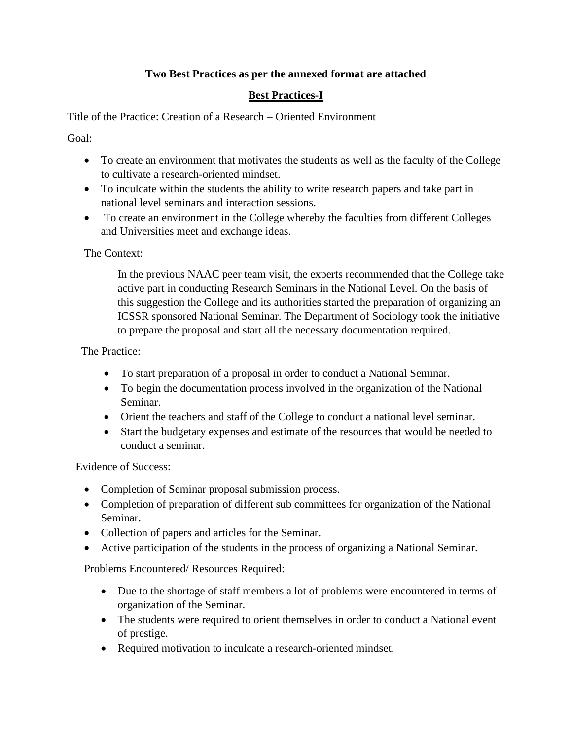# **Two Best Practices as per the annexed format are attached**

# **Best Practices-I**

Title of the Practice: Creation of a Research – Oriented Environment

Goal:

- To create an environment that motivates the students as well as the faculty of the College to cultivate a research-oriented mindset.
- To inculcate within the students the ability to write research papers and take part in national level seminars and interaction sessions.
- To create an environment in the College whereby the faculties from different Colleges and Universities meet and exchange ideas.

#### The Context:

In the previous NAAC peer team visit, the experts recommended that the College take active part in conducting Research Seminars in the National Level. On the basis of this suggestion the College and its authorities started the preparation of organizing an ICSSR sponsored National Seminar. The Department of Sociology took the initiative to prepare the proposal and start all the necessary documentation required.

#### The Practice:

- To start preparation of a proposal in order to conduct a National Seminar.
- To begin the documentation process involved in the organization of the National Seminar.
- Orient the teachers and staff of the College to conduct a national level seminar.
- Start the budgetary expenses and estimate of the resources that would be needed to conduct a seminar.

Evidence of Success:

- Completion of Seminar proposal submission process.
- Completion of preparation of different sub committees for organization of the National Seminar.
- Collection of papers and articles for the Seminar.
- Active participation of the students in the process of organizing a National Seminar.

Problems Encountered/ Resources Required:

- Due to the shortage of staff members a lot of problems were encountered in terms of organization of the Seminar.
- The students were required to orient themselves in order to conduct a National event of prestige.
- Required motivation to inculcate a research-oriented mindset.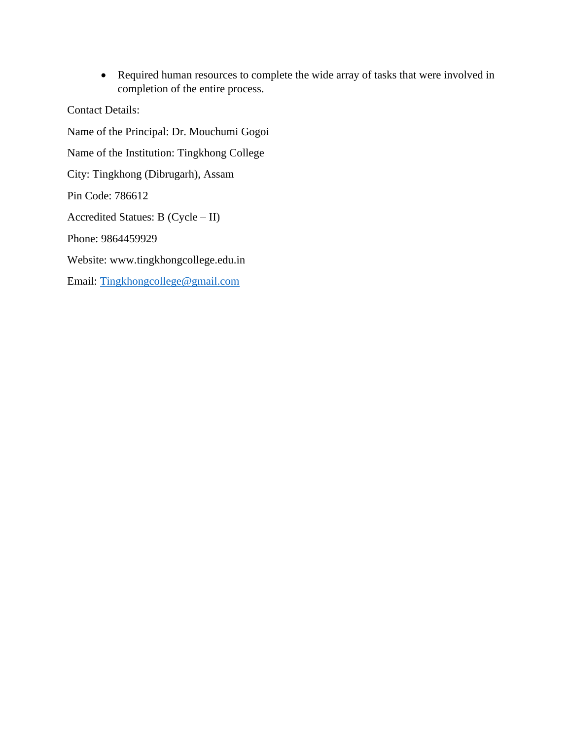• Required human resources to complete the wide array of tasks that were involved in completion of the entire process.

Contact Details:

Name of the Principal: Dr. Mouchumi Gogoi Name of the Institution: Tingkhong College City: Tingkhong (Dibrugarh), Assam Pin Code: 786612 Accredited Statues: B (Cycle – II) Phone: 9864459929 Website: www.tingkhongcollege.edu.in Email: [Tingkhongcollege@gmail.com](mailto:Tingkhongcollege@gmail.com)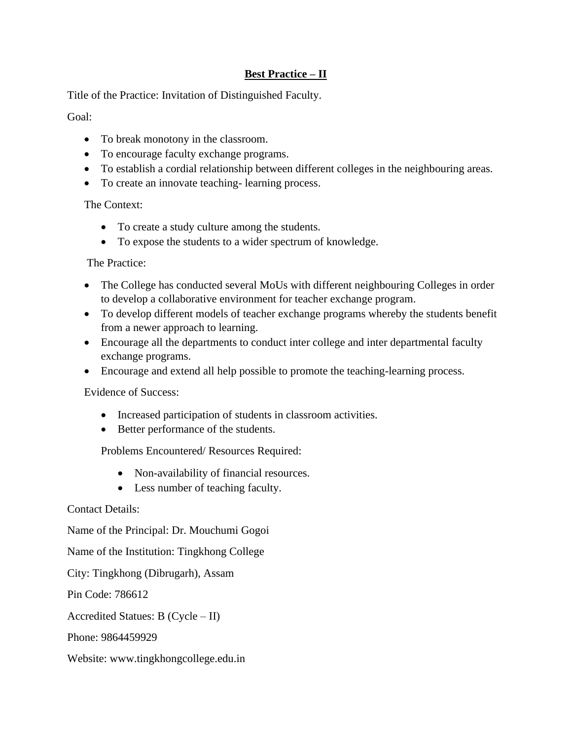### **Best Practice – II**

Title of the Practice: Invitation of Distinguished Faculty.

Goal:

- To break monotony in the classroom.
- To encourage faculty exchange programs.
- To establish a cordial relationship between different colleges in the neighbouring areas.
- To create an innovate teaching- learning process.

The Context:

- To create a study culture among the students.
- To expose the students to a wider spectrum of knowledge.

The Practice:

- The College has conducted several MoUs with different neighbouring Colleges in order to develop a collaborative environment for teacher exchange program.
- To develop different models of teacher exchange programs whereby the students benefit from a newer approach to learning.
- Encourage all the departments to conduct inter college and inter departmental faculty exchange programs.
- Encourage and extend all help possible to promote the teaching-learning process.

Evidence of Success:

- Increased participation of students in classroom activities.
- Better performance of the students.

Problems Encountered/ Resources Required:

- Non-availability of financial resources.
- Less number of teaching faculty.

Contact Details:

Name of the Principal: Dr. Mouchumi Gogoi

Name of the Institution: Tingkhong College

City: Tingkhong (Dibrugarh), Assam

Pin Code: 786612

Accredited Statues: B (Cycle – II)

Phone: 9864459929

Website: www.tingkhongcollege.edu.in